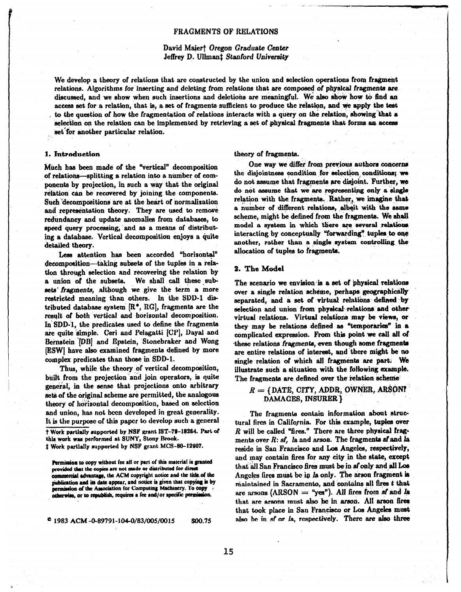#### FRAGMENTS OF RELATIONS

# David Maiert Oregon Graduate Center Jeffrey D. Ullmant Stanford University

We develop a theory of relations that are constructed by the union and selection operations from fragment relations. Algorithms for inserting and deleting from relations that are composed of physical fragments are discussed, and we show when such insertions and deletions are meaningful. We also show how to find an access set for a relation, that is, a set of fragments sufficient to produce the relation, and we apply the test to the question of how the fragmentation of relations interacts with a query on the relation, showing that a selection on the relation can be implemented by retrieving a set of physical fragments that forms an access set for another particular relation.

#### 1. introduction

Much has been made of the "vertical" decomposition of relations-splitting a relation into a number of components by projection, in such a way that the original relation can be recovered by joining the components. Such decompositions are at the heart of normalization and representation theory. They are used to remove redundancy and update anomalies from databases, to speed query processing, and as a means of distributing a database. Vertical decomposition enjoys a quite detailed theory.

Less attention has been accorded "horizontal" decomposition--taking subsets of the tuples in a relation through selection and recovering the relation by a union of the subsets. We shall call these subsets fragments, although we give the term a more restricted meaning than others. In the SDD-1 distributed database system  $[R^*, RG]$ , fragments are the result of both vertical and horizontal decomposition. In' SDD-1, the predicates used to define the fragments are quite simple. Ceri and Pelagatti  $[CP]$ , Dayal and Bernstein '[DB] and Epstein, Stonebraker and Wong [ESW] have also examined fragments defined by more complex predicates than those in SDD-1.

Thus, while the theory of vertical decomposition, built from the projection and join operators, is quite general, in the sense that projections onto arbitrary sets of the original scheme are permitted, the analogous theory of horizontal decomposition, based on selection and union, has not been developed in great generality. It is the purpose of this paper to develop such a general

t Work pprtlally supported by NSF grant IST-79-1828a. Part of this work was performed at SUNY, Stony Brook. \$ Work partially supported by NSF grant MCS-80-12907.

Permission to copy without fee all or part of this material is granted provided that the copies are not made or distributed for direct commercial advantage, the ACM copyright notice and the title of the publication and its date appear, and notice is given that copying is by permission of the Association for Computing Machinery. To copy otherwise, or to republish, requires a fee and/or specific permission.

 $^{\circ}$  1983 ACM -0-89791-104-0/83/005/0015 \$00.75

#### theory of fragments.

One way we differ from previous authors concerns the disjointness condition for selection conditions; we do not assume that fragments are disjoint. Further, we do not assume that we are representing only a single relation with the fragments. Rather, we imagine that a number of different relations, albeit with the same scheme, might be defined from the fragments. We shall model a system in which there are several relations interacting by conceptually "forwarding" tuples to one another, rather than a single system controlling the allocation of tuples to fragments.

### 2. The Model

The scenario we envision is a set of physical relations over a single relation scheme, perhaps geographically separated, and a set of virtual relations defined by selection and union from physical relations and other virtual relations. Virtual relations may be views, or they may be relations defined as "temporaries" in a complicated expression. From this point we call all of these relations fragments, even though some fragments are entire relations of interest, and 'there might be no single relation. of which all fragments are part; We illustrate such a situation with the following example. The fragments are defined over the relation scheme

# $R = \{$  DATE, CITY, ADDR, OWNER, ARSON? DAMAGES, INSURER}

The fragments contain information about structural fires in California. For this example, tuples over  $R$  will be called "fires." There are three physical fragments over  $R:$   $s\mathbf{f}$ , la and arson. The fragments  $s\mathbf{f}$  and la reside in San Francisco and Los Angeles, respectively, and may contain fires for any city in the state, except that all San Francisco fires must be in sf only and all Los Angeles fires must be in  $l$  a only. The arson fragment is maintained in Sacramento, and contains all fires  $t$  that are arsons  $(ARSON = "yes")$ . All fires from af and la that are arsons must also be in arson. All arson fires that took place in San Francisco or Los Angeles must also be in sf or la, respectively. There are also three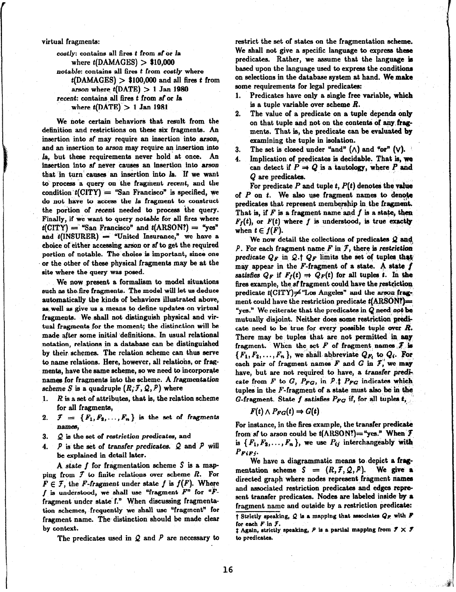#### virtual fragments:

costly: contains all fires t from sf or la where  $t(DAMAGES) > $10,000$ notable: contains all fires t from costly where  $t(DAMAGES) > $100,000$  and all fires t from arson where  $t(DATE) > 1$  Jan 1980 recent: contains all fires t from sf or Ia where  $t(DATE) > 1$  Jan 1981

We note certain behaviors that result from the definition and restrictions on these six fragments. An insertion into sf may require an insertion into arson, and an insertion to arson may require an insertion into la, but these requirements never hold at once. An insertion into sf never causes an insertion into arson that in turn causes an insertion into la. If we want to process a query on the fragment recent, and the condition  $t$ (CITY) = "San Francisco" is specified, we do not have to access the la fragment to construct the portion of recent needed to process the query. Finally, if we want to query notable for all fires where  $t(CITY)$  = "San Francisco" and  $t(ARSON!)$  = "yes" and  $t(INSURER) =$  "United Insurance," we have a choice of either accessing arson or sf to get the required portion of notable. The choice is important, since one or the other of these physical fragments may be at the site where the query was posed.

We now present a formalism to model situations such as the fire fragments. The model will let us deduce automatically the kinds of behaviors illustrated above, as well as give us a means to define updates on virtual fragments. We shall not distinguish physical and virtual fragments for the moment; the distinction will be made after some initial definitions. In usual relational notation, relations in a database can be distinguished by their schemes. The relation scheme can thus serve to name relations. Here, however, all relations, or fragments, have the same scheme, so we need to incorporate names for fragments into the scheme. A fragmentation scheme S is a quadruple  $(R, \mathcal{F}, \mathcal{Q}, P)$  where

- 1.  $R$  is a set of attributes, that is, the relation scheme for all fragments,
- 2.  $\mathcal{F} = \{F_1, F_2, \ldots, F_n\}$  is the set of fragments names,
- 3.  $Q$  is the set of restriction predicates, and
- 4.  $P$  is the set of transfer predicates.  $Q$  and  $P$  will be explained in detail later.

A state  $f$  for fragmentation scheme  $S$  is a mapping from  $f$  to finite relations over scheme  $R$ . For  $F \in \mathcal{F}$ , the F-fragment under state f is  $f(F)$ . Where f is understood, we shall use "fragment  $F$ " for " $F$ fragment under state f." When discussing fragmentation schemes, frequently we shall use "fragment" for fragment name. The distinction should be made clear by context.

The predicates used in  $Q$  and  $P$  are necessary to

restrict the set of states on the fragmentation scheme. We shall not give a specific language to express these predicates. Rather, we assume that the language is based upon the language used to express the conditions on selections in the database system at hand. We make some requirements for legal predicates:

- 1. Predicates have only a single free variable, which is a tuple variable over scheme  $R$ .
- 2. The value of a predicate on a tuple depends only on that tuple and not on the contents of any fragments. That is, the predicate can be evaluated by examining the tuple in isolation.
- 3. The set is closed under "and"  $(\wedge)$  and "or"  $(\vee)$ .
- 4. Implication of predicates is decidable. That is, we can detect if  $P \rightarrow Q$  is a tautology, where P and Q are predicates.

For predicate P and tuple t,  $P(t)$  denotes the value of  $P$  on  $t$ . We also use fragment names to denote predicates that represent membership in the fragment. That is, if  $\overline{F}$  is a fragment name and  $\overline{f}$  is a state, then  $F_f(t)$ , or  $F(t)$  where f is understood, is true exactly when  $t \in f(F)$ .

We now detail the collections of predicates  $Q$  and P. For each fragment name  $F$  in  $\mathcal{F}$ , there is restriction predicate  $Q_F$  in  $Q. \dagger Q_F$  limits the set of tuples that may appear in the F-fragment of a state. A state  $f$ satisfies  $Q_F$  if  $F_f(t) \Rightarrow Q_F(t)$  for all tuples t. In the fires example, the sf fragment could have the restriction predicate  $t$ (CITY) $\neq$  "Los Angeles" and the arson fragment could have the restriction predicate  $t(ARSON)$ = "yes." We reiterate that the predicates in  $Q$  need, not be mutually disjoint. Neither does some restriction predicate need to be true for every possible tuple over  $R$ . There may be tuples that are not permitted in any fragment. When the set  $F$  of fragment names  $f$  is  ${F_1, F_2, \ldots, F_n}$ , we shall abbreviate  $Q_{F_i}$  to  $Q_i$ . For each pair of fragment names  $F$  and  $G$  in  $\mathcal{F}'$ , we may have, but are not required to have, a transfer predicate from F to G,  $P_{FG}$ , in P.1  $P_{FG}$  indicates which tuples in the  $F$ -fragment of a state must also, be in the G-fragment. State  $f$  satisfies  $P_{FG}$  if, for all tuples  $t,$ 

$$
F(t) \wedge P_{FG}(t) \Rightarrow G(t)
$$

For instance, in the fires example, the transfer predicate from sf to arson could be  $t(\text{ARSON})$ ="yes." When  $\mathcal{F}$ is  $\{F_1, F_2, \ldots, F_n\}$ , we use  $P_{ij}$  interchangeably with PFiFj-

We have a diagrammatic means to depict a fragmentation scheme  $S = (R, \mathcal{F}, \mathcal{Q}, P)$ . We give a directed graph where nodes represent fragment names and associated restriction predicates and edges represent transfer predicates. Nodes are labeled inside by a fragment name and outside by a restriction predicate: t Strictly speaking,  $Q$  is a mapping that associates  $Q_F$  with  $F$ for each  $F$  in  $J$ .  $\ddagger$  Again, strictly speaking,  $P$  is a partial mapping from  $\ddot{J} \times \ddot{J}$ 

to predicates.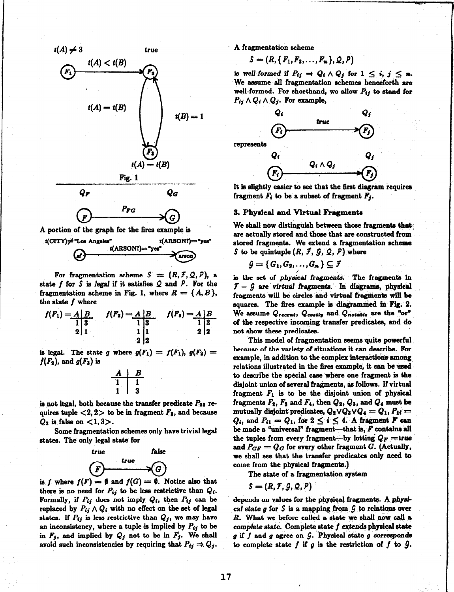



A portion of the graph for the fires example is



For fragmentation scheme  $S = (R, \mathcal{F}, \mathcal{Q}, P)$ , a state f for S is legal if it satisfies  $Q$  and  $P$ . For the fragmentation scheme in Fig. 1, where  $R = \{A, B\},\$ the state  $f$  where

$$
f(F_1) = A \begin{vmatrix} B & f(F_2) = A & B \\ 1 & 3 & 1 \\ 2 & 1 & 1 \end{vmatrix} \qquad f(F_3) = A \begin{vmatrix} B & 1 & 1 \\ 1 & 3 & 1 \\ 2 & 2 & 2 \end{vmatrix}
$$

is legal. The state g where  $g(F_1) = f(F_1)$ ,  $g(F_2) =$  $f(F_2)$ , and  $g(F_3)$  is

$$
\begin{array}{c|cc}\nA & B \\
\hline\n1 & 1 \\
1 & 3\n\end{array}
$$

is not legal, both because the transfer predicate  $P_{23}$  requires tuple  $\langle 2, 2 \rangle$  to be in fragment  $F_3$ , and because  $Q_3$  is false on  $\langle 1,3\rangle$ .

Some fragmentation schemes only have trivial legal states. The only legal state for



is f. where  $f(F) = \emptyset$  and  $f(G) = \emptyset$ . Notice also that there is no need for  $P_{ij}$  to be less restrictive than  $Q_i$ . Formally, if  $P_{ij}$  does not imply  $Q_i$ , then  $P_{ij}$  can be replaced by  $P_{ij} \wedge Q_i$  with no effect on the set of legal states. If  $P_{ij}$  is less restrictive than  $Q_j$ , we may have an inconsistency, where a tuple is implied by  $P_{ij}$  to be in  $F_j$ , and implied by  $Q_j$  not to be in  $F_j$ . We shall avoid such inconsistencies by requiring that  $P_{ij} \to Q_j$ . A fragmentation scheme

$$
S=(R,\{F_1,F_2,\ldots,F_n\},\mathcal{Q},\mathcal{P})
$$

is well-formed if  $P_{ij} \to Q_i \wedge Q_j$  for  $1 \leq i, j \leq n$ . We assume alI fragmentation schemes henceforth are well-formed. For shorthand, we allow  $P_{ij}$  to stand for  $P_{ij} \wedge Q_i \wedge Q_j$ . For example,



It is slightly easier to see that the first diagram requires fragment  $F_i$  to be a subset of fragment  $F_i$ .

#### 8. Physical and Virtual Fmgmenta

We shall now distinguish between those fragments that are actually stored and those that are constructed from stored fragments. We extend a fragmentation scheme S to be quintuple  $(R, \mathcal{F}, \mathcal{G}, \mathcal{Q}, P)$  where

$$
\mathcal{G} = \{G_1, G_2, \ldots, G_n\} \subseteq \mathcal{F}
$$

is the set of physical fragments. The fragments in  $5 - 9$  are virtual fragments. In diagrams, physical fragments will be circles and virtual fragments will be squares. The fires example is diagrammed in Fig. 2. We assume  $Q_{recent}$ ,  $Q_{costly}$  and  $Q_{notable}$  are the "or" of the respective incoming transfer predicates, and do not show these predicates.

This model of fragmentation seems quite powerful because of the variety of situations it can describe. For example, in addition to the complex interactions among relations illustrated in the fires example, it can be used to describe the special case where one fragment is the disjoint union of several fragments, as follows. If virtual fragment  $F_1$  is to be the disjoint union of physical fragments  $F_2$ ,  $F_3$  and  $F_4$ , then  $Q_2$ ,  $Q_3$ , and  $Q_4$  must be mutually disjoint predicates,  $Q_2 \vee Q_3 \vee Q_4 = Q_1, P_{1i} =$  $Q_i$ , and  $P_{i1} = Q_1$ , for  $2 \leq i \leq 4$ . A fragment F can be made a "universal" fragment-that is,  $F$  contains all the tuples from every fragment—by letting  $Q_F$  = true and  $P_{GF} = Q_G$  for every other fragment G. (Actually, we shall see that the transfer predicates only need to come from the physical fragments.)

The state of a fragmentation system

$$
S=(R,\mathcal{F},\mathcal{G},\mathcal{Q},P)
$$

depends on values for the physical fragments. A physical state g for S is a mapping from  $G$  to relations over  $R.$  What we before called a state we shall now call a complete state. Complete state  $f$  extends physical state  $g$  if  $f$  and  $g$  agree on  $G$ . Physical state  $g$  corresponds to complete state f if g is the restriction of f to  $\mathcal{G}$ .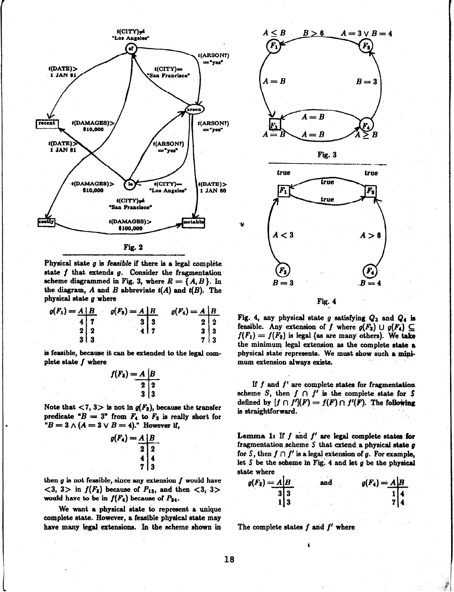

Fig. 2

Physical state  $g$  is feasible if there is a legal complete state  $f$  that extends  $g$ . Consider the fragmentation scheme diagrammed in Fig. 3, where  $R = \{A, B\}$ . In the diagram,  $A$  and  $B$  abbreviate  $t(A)$  and  $t(B)$ . The physical state g where

$$
g(F_1) = \frac{A}{4} \begin{vmatrix} B & g(F_2) = A & B \\ 1 & 7 & 3 & 3 \\ 2 & 2 & 4 & 7 \end{vmatrix} \qquad g(F_4) = \frac{A}{4} \begin{vmatrix} B & B \\ 2 & 2 \\ 3 & 3 & 3 \\ 7 & 3 & 3 \end{vmatrix}
$$

is feasible, because it can be extended to the legal complete state  $f$  where

$$
f(F_3) = A \begin{array}{|c|}\nB \\
2 & 2 \\
3 & 3\n\end{array}
$$

Note that  $\langle 7, 3 \rangle$  is not in  $g(F_2)$ , because the transfer predicate " $B = 3$ " from  $F_4$  to  $F_2$  is really short for " $B=3\wedge(A=3\vee B=4)$ ." However if,

$$
g(F_4) = A \begin{array}{c|c} & B \\ \hline 2 & 2 \\ & 4 & 4 \\ & 7 & 3 \end{array}
$$

then  $g$  is not feasible, since any extension  $f$  would have  $\langle 3, 3 \rangle$  in  $f(F_3)$  because of  $P_{13}$ , and then  $\langle 3, 3 \rangle$ would have to be in  $f(F_4)$  because of  $P_{34}$ .

We want a physical state to represent a unique complete state. However, a feasible physical state may have many legal extensions. In the scheme shown in





Fig. 4

Fig. 4, any physical state g satisfying  $Q_3$  and  $Q_4$  is feasible. Any extension of f where  $g(F_3) \cup g(F_4) \subseteq$  $f(F_1) = f(F_2)$  is legal (as are many others). We take the minimum, legal extension as the complete state a physical state represents. We must show such a minimum extension always exists.

If  $f$  and  $f'$  are complete states for fragmentation scheme S, then  $f \cap f'$  is the complete state for S defined by  $[f \cap f'](F) = f(F) \cap f'(F)$ . The following is straightforward.

Lemma 1: If  $f$  and  $f'$  are legal complete states for fragmentation scheme  $S$  that extend a physical state  $g$ for S, then  $f \cap f'$  is a legal extension of g. For example, let  $S$  be the scheme in Fig. 4 and let  $g$  be the physical state where

$$
g(F_3) = A \begin{vmatrix} B \\ 3 & 3 \\ 1 & 3 \end{vmatrix}
$$
 and 
$$
g(F_4) = A \begin{vmatrix} B \\ 1 & 4 \\ 7 & 4 \end{vmatrix}
$$

The complete states  $f$  and  $f'$  where

18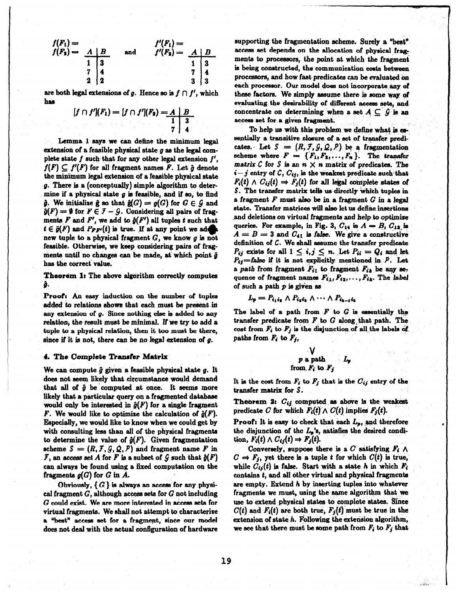$$
f(F_1) = f(F_2) = \begin{array}{c|cc} & f'(F_1) = f(F_2) = \begin{array}{c|cc} & f'(F_1) = f'(F_2) = \begin{array}{c|cc} & A & B \\ \hline 1 & 3 & & & 1 \\ 2 & 4 & & & 7 \\ 2 & 2 & & & 3 \end{array} & \begin{array}{c|cc} & A & B \\ 4 & & 7 & 4 \\ 3 & & 3 & 3 \end{array} \end{array}
$$

are both legal extensions of g. Hence so is  $f \cap f'$ , which ha8

$$
[f \cap f'](F_1) = [f \cap f'](F_2) = A \mid B
$$
  

$$
\begin{array}{c|c|c|c|c|c} & 1 & 3 \\ \hline 7 & 4 & \end{array}
$$

Lemma 1 says we can define the minimum legal extension of a feasible physical state  $q$  as the legal complete state  $f$  such-that for any other legal extension  $f'$ ,  $f(F) \subset f'(F)$  for all fragment names F. Let  $\hat{g}$  denote the minimum legal extension of a feasible physical state g. There is a (conceptually) simple aJgorithm to determine if a physical state  $g$  is feasible, and if so, to find  $\hat{g}$ . We initialize  $\hat{g}$  so that  $\hat{g}(G) = g(G)$  for  $G \in \mathcal{G}$  and  $\hat{g}(F) = \emptyset$  for  $F \in \mathcal{F} - \mathcal{G}$ . Considering all pairs of fragments F and F', we add to  $\hat{g}(F')$  all tuples t such that  $t \in \hat{g}(F)$  and  $P_{FF'}(t)$  is true. If at any point we add new tuple to a physical fragment  $G$ , we know  $g$  is not feasible. Otherwise, we keep considering pairs of fragments until no changes can be made, at which point  $\hat{g}$ has the correct value.

Theorem 1: The above algorithm correctly computes ĝ.

Proof: An easy induction on the number of tuples added to relations shows that each must be present in any extension of g. Since nothing else is added to any relation, the result must be minimal. If we try to add a tuple to a physical relation, then it too must be there, since if it is not, there can be no legal extension of  $g$ .

## 4. The Complete Transfer Matrix

We can compute  $\hat{g}$  given a feasible physical state  $g$ . It does not seem likely that circumstance would demand that all of  $\hat{g}$  be computed at once. It seems more likely that a particular query on a fragmented database would only be interested in  $\hat{g}(F)$  for a single fragment F. We would like to optimize the calculation of  $\hat{g}(F)$ . Especially, we would like to know when we could get by with consulting less than all of the physical fragments to determine the value of  $\hat{g}(F)$ . Given fragmentation scheme  $S = (R, \mathcal{F}, \mathcal{G}, \mathcal{Q}, P)$  and fragment name F in  $\mathcal{F}$ , an access set A for F is a subset of  $\mathcal{G}$  such that  $\hat{g}(F)$ can always be found using a fixed computation on the fragments  $g(G)$  for  $G$  in  $A$ .

Obviously,  $\{G\}$  is always an access for any physical fragment  $G$ , although access sets for  $G$  not including  $G$  could exist. We are more interested in access sets for virtual fragments. We shall not attempt to characterize a "best" access set for a fragment, since our model doe8 not deal with the actual configuration of hardware supporting the fragmentation scheme. Surely a "best" access set depends on the allocation of physical fragments to processors, the point at which the fragment is being constructed, the communication costs between processors, and how fast predicates can be evaluated on each processor. Our model doe8 not incorporate any of these factors. We simply assume there is some way of evaluating the desirability of different access sets, and concentrate on determining when a set  $A \subseteq G$  is an access set for a given fragment.

To help us with this problem we define what is essentially a transitive closure of a set of transfer predicates. Let  $S = (R, \mathcal{F}, \mathcal{G}, \mathcal{Q}, P)$  be a fragmentation scheme where  $F = \{F_1, F_2, \ldots, F_n\}$ . The transfer matrix  $C$  for  $S$  is an  $n \times n$  matrix of predicates. The  $i-j$  entry of  $C, C_{ij}$ , is the weakest predicate such that  $F_i(t) \wedge C_{ij}(t) \Rightarrow F_j(t)$  for all legal complete states of S. The transfer matrix tells us directly which tuples in a fragment  $F$  must also be in a fragment  $G$  in a legal state. Transfer matrices will also let us define insertions ,and deletions on virtual fragmente and help to optimixe queries. For example, in Fig. 3,  $C_{14}$  is  $A = B$ ,  $C_{12}$  is  $A = B = 3$  and  $C_{41}$  is false. We give a constructive definition of  $C$ . We shall assume the transfer predicate  $P_{ij}$  exists for all  $1 \leq i, j \leq n$ . Let  $P_{ii} = Q_i$  and let  $P_{ij}=$ false if it is not explicitly mentioned in  $P$ . Let a path from fragment  $F_{i1}$  to fragment  $F_{ik}$  be any sequence of fragment names  $F_{i1}, F_{i2}, \ldots, F_{ik}$ . The label of such a path  $p$  is given as

$$
L_p = P_{i_1 i_2} \wedge P_{i_2 i_2} \wedge \cdots \wedge P_{i_{k-1} i_k}
$$

The label of a path from  $F$  to  $G$  is essentially the transfer predicate from  $F$  to  $G$  along that path. The cost from  $F_i$  to  $F_j$  is the disjunction of all the labels of paths from  $F_i$  to  $F_j$ ,

$$
\begin{array}{cc}\n & V \\
 p \text{ a path} & L_p \\
 \text{from } F_i \text{ to } F_j\n\end{array}
$$

It is the cost from  $F_i$  to  $F_j$  that is the  $C_{ij}$  entry of the transfer matrix for S.

Theorem 2:  $C_{ij}$  computed as above is the weakest predicate C for which  $F_i(t) \wedge C(t)$  implies  $F_j(t)$ .

Proof: It is easy to check that each  $L_p$ , and therefore the disjunction of the  $L_p$ 's, satisfies the desired condition,  $F_i(t) \wedge C_{ij}(t) \rightarrow F_j(t)$ .

Conversely, suppose there is a C satisfying  $F_i \wedge$  $C \Rightarrow F_j$ , yet there is a tuple t for which  $C(t)$  is true, while  $C_{ij}(t)$  is false. Start with a state h in which  $F_i$ contains  $t$ , and all other virtual and physical fragments are empty. Extend h by inserting tuples into whatever fragments we must, using the same algorithm that we use to extend physical states to complete states. Since  $C(t)$  and  $F_i(t)$  are both true,  $F_j(t)$  must be true in the extension of state  $h$ . Following the extension algorithm, we see that there must be some path from  $F_i$  to  $F_j$  that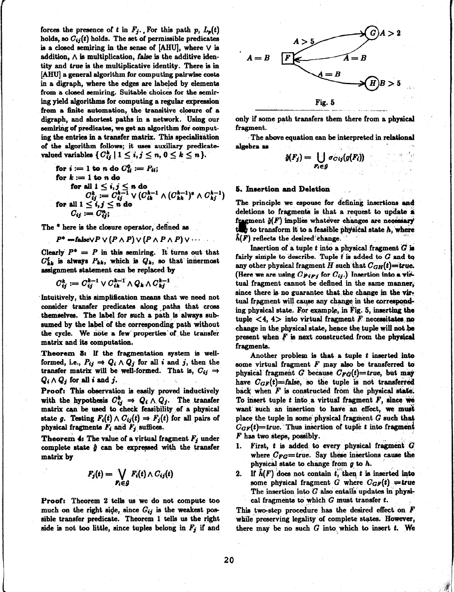forces the presence of t in  $F_j$ . For this path p,  $L_p(t)$ holds, so  $C_{ij}(t)$  holds. The set of permissible predicates is a closed semiring in the sense of  $[AHU]$ , where  $\vee$  is addition,  $\wedge$  is multiplication, false is the additive identity and true is the multiplicative identity. There is in [AHU] a general algorithm for computing pairwise coats in a digraph, where the edges are labeled by elements from a closed aemiring. Suitable choicea for the aemiring yield algorithms for computing a regular expression from a finite automation, the transitive closure of a digraph, and shortest patha in a network. Using our semiring of predicates, we get an algorithm for computing the entries in a transfer matrix. This specialitation of the algorithm follows; it uses auxiliary predicatevalued variables  $\{ C_{ij}^k \mid 1 \le i, j \le n, 0 \le k \le n \}.$ 

for 
$$
i := 1
$$
 to n do  $C_{ii}^0 := P_{ii}$  for  $k := 1$  to n do\n\tfor all  $1 \leq i, j \leq n$  do\n\t\t
$$
C_{ij}^k := C_{ij}^{k-1} \vee (C_{ii}^{k-1} \wedge (C_{ki}^{k-1})^* \wedge C_{kj}^{k-1})
$$
\nfor all  $1 \leq i, j \leq n$  do\n\t\t
$$
C_{ij} := C_{ij}^n
$$

The <sup>\*</sup> here is the closure operator, defined as

$$
P^* = \mathbf{false} \vee P \vee (P \wedge P) \vee (P \wedge P \wedge P) \vee \cdots
$$

Clearly  $P^* = P$  in this semiring. It turns out that  $C_{kk}^{\ell}$  is always  $P_{kk}$ , which is  $Q_k$ , so that innermost assignment statement can be replaced by

$$
C_{ij}^k:=C_{ij}^{k-1}\vee C_{ik}^{k-1}\wedge Q_k\wedge C_{kj}^{k-1}
$$

Intuitively, this simplification means that we need not consider transfer predicates along paths that cross themselves. The label for such a path is always subsumed by the label of the corresponding path without the cycle. We note a few properties of the transfer matrix and ita computation.

Theorem 3: If the fragmentation system is wellformed, i.e.,  $P_{ij} \Rightarrow Q_i \wedge Q_j$  for all i and j, then the transfer matrix will be well-formed. That is,  $C_{ij} \rightarrow$  $Q_i \wedge Q_j$  for all i and j.

Proof: This observation is easily proved inductively with the hypothesis  $C_{ij}^k \Rightarrow Q_i \wedge Q_j$ . The transfer matrix can be used to check feasibility of a physical state g. Testing  $F_i(t) \wedge C_{ij}(t) \Rightarrow F_j(t)$  for all pairs of physical fragments  $F_i$  and  $F_j$  suffices.

**Theorem 4: The value of a virtual fragment**  $F_j$  **under** complete state  $\hat{g}$  can be expressed with the transfer matrix by

$$
F_j(t) = \bigvee_{F_i \in \mathcal{G}} F_i(t) \wedge C_{ij}(t)
$$

Proof: Theorem 2 tells ua we do not compute too much on the right side, since  $C_{ij}$  is the weakest possible transfer predicate. Theorem 1 tells us the right side is not too little, since tuples belong in  $F_j$  if and



only if some path transfers them there from a physical fragment.

The above equation can be interpreted in relational algebra aa

$$
\hat{g}(F_j) = \bigcup_{F_i \in \mathcal{G}} \sigma_{Cij}(g(F_i))
$$

#### **5. Insertion and Deletion**

The principle we espouse for defining insertions and deletions to fragments is that a request to update  $\dot{\textbf{x}}$ fragment  $\hat{g}(F)$  implies whatever changes are necessa  $t_{\text{avg}}$  to transform it to a feasible physical state  $h$ , when  $h(F)$  reflects the desired change.

Insertion of a tuple t into a physical fragment  $G$  is fairly simple to describe. Tuple  $t$  is added to  $G$  and to any other physical fragment H such that  $C_{GH}(t)=$  true. (Here we are using  $C_{F/Fj}$  for  $C_{ij}$ .) Insertion into a virtual fragment cannot be defined in the same manner; since there is no guarantee that, the change in the virtual fragment will cause any change in the corresponding physical state. For example, in Fig. 5, inserting the tuple  $\langle 4, 4 \rangle$  into virtual fragment F necessitates no change in the physical state, hence the tuple will not be present when  $F$  is next constructed from the physical fragments.

Another problem is that a tuple t inserted into some virtual fragment  $F$  may also be transferred to physical fragment G because  $C_{FG}(t)$ =true, but may have  $C_{GF}(t)=$ false, so the tuple is not transferred back when  $F$  is constructed from the physical state. To insert tuple  $t$  into a virtual fragment  $F$ , since we want such an insertion to have an effect, we must place the tuple in some physical fragment  $G$  such that  $C_{GF}(t)$ =true. Thus insertion of tuple t into fragment  $\boldsymbol{F}$  has two steps, possibly.

- First,  $t$  is added to every physical fragment  $G$ where  $C_{FG}=true$ . Say these insertions cause the physical state to change from  $g$  to  $h$ .
- 2. If  $\hat{h}(F)$  does not contain t, then t is inserted into some physical fragment G where  $C_{GF}(t) = true$ The insertion into  $G$  also entails updates in physical fragments to which  $G$  must transfer t.

This two-step procedure has the desired effect on  $\bm{F}$ while preserving legality of complete states. However, there may be no such  $G$  into which to insert  $t$ . We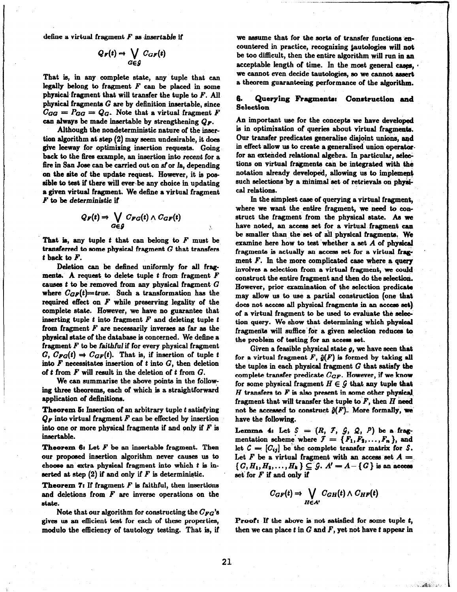define a virtual fragment  $F$  as insertable if

$$
Q_F(t) \Rightarrow \bigvee_{G \in \mathcal{G}} C_{GF}(t)
$$

That is, in any complete state, any tuple that can legally belong to fragment  $F$  can be placed in some physical fragment that will transfer the tuple to  $F$ . All physical fragments  $G$  are by definition insertable, since  $C_{GG} = P_{GG} = Q_G$ . Note that a virtual fragment F can always be made insertable by strengthening  $Q_F$ .

Although the nondeterministic nature of the insertion algorithm at step (2) may seem undesirable, it does give leeway for optimising insertion requests. Going back to the fires example, an insertion into recent for a fire in San Jose can be carried out on sf or la, depending on the site of the update request. However, it is possible to test if there will ever be any choice in updating a given virtual fragment. We define a virtual fragment  $F$  to be deterministic if

$$
Q_F(t) \Rightarrow \bigvee_{G \in \mathcal{G}} C_{FG}(t) \wedge C_{GF}(t)
$$

That is, any tuple  $t$  that can belong to  $F$  must be transferred to some physical fragment  $G$  that transfers t back to  $F$ .

Deletion can be defined uniformly for all fragments. A request to delete tuple  $t$  from fragment  $F$ causes  $t$  to be removed from any physical fragment  $G$ where  $C_{GF}(t)$ =true. Such a transformation has the required effect on  $F$  while preserving legality of the complete state. However, we have no guarantee that inserting tuple  $t$  into fragment  $F$  and deleting tuple  $t$ from fragment  $F$  are necessarily inverses as far as the physical state of the database is concerned. We define a fragment  $F$  to be faithful if for every physical fragment  $G, C_{FG}(t) \Rightarrow C_{GF}(t)$ . That is, if insertion of tuple t into  $F$  necessitates insertion of t into  $G$ , then deletion of  $t$  from  $F$  will result in the deletion of  $t$  from  $G$ .

We can summarize the above points in the following three theorems, each of which is a straightforward application of definitions.

Theorem  $5$ : Insertion of an arbitrary tuple  $t$  satisfying  $Q_F$  into virtual fragment  $F$  can be effected by insertion into one or more physical fragments if and only if  $F$  is insertable.

**Theorem 6:** Let  $F$  be an insertable fragment. Then our proposed insertion algorithm never causes us to choose an extra physical fragment into which  $t$  is inserted at step  $(2)$  if and only if F is deterministic.

**Theorem 7:** If fragment  $F$  is faithful, then insertions and deletions from  $F$  are inverse operations on the state.

Note that our algorithm for constructing the  $C_{FG}$ 's gives us an efficient test for each of these properties, modulo the efficiency of tautology testing. That is, if

we assume that for the sorts of transfer functions encountered in practice, recognizing &autologies will not be too difficult, then the entire algorithm will run in an acceptable length of time. In the most general cases,  $\cdot$ we cannot even decide tautologies, so we cannot assert a theorem guaranteeing performance of the algorithm.

# 6. Querying Fragments: Construction and Selection

An important use for the concepts we have developed is in optimization of queries about virtual fragments. Our transfer predicates generalise disjoint unions, and in effect allow us to create a generalized union operator. for an extended relational algebra. In particular, selections on virtual fragments can be integrated with the notation already developed, allowing us to implement such selections by a minimal set of retrievals on physical relations.

In the simplest case of querying a virtual fragment, where we want the entire fragment, we need to construct the fragment from the physical state. As we have noted, an access set for a virtual fragment can be smaller than the' set of ail physical fragments, We examine here how to test whether a set  $A$  of physical fragments is actually an access set for a virtual fragment  $F$ . In the more complicated case where a query involves a selection from a virtual fragment, we could construct the entire fragment and then do the selection. However, prior examination of the selection predicate may allow us to use a partial construction (one that does not access all physical fragmente in an access set) of a virtual fragment to be used to evahate the selection query. We show that determining which physical fragments will sufhce'for a given selection reduces to the problem of testing for an access set.

Given a feasible physical state  $g$ , we have seen that for a virtual fragment  $F$ ,  $\hat{g}(F)$  is formed by taking all the tuples in each physical fragment  $G$  that satisfy the complete transfer predicate  $C_{GF}$ . However, if we know for some physical fragment  $H \in \mathcal{G}$  that any tuple that  $H$  transfers to  $F$  is also present in some other physical. fragment that will transfer the tuple to  $F$ , then  $H$  need not be accessed to construct  $\hat{g}(F)$ . More formally, we have the following.

Lemma 4: Let  $S = (R, \mathcal{F}, \mathcal{G}, \mathcal{Q}, P)$  be a fragmentation scheme where  $\mathcal{F} = \{F_1, F_2, \ldots, F_n\}$ , and let  $C = [C_{ij}]$  be the complete transfer matrix for S. Let F be a virtual fragment with an access set  $A =$  $\{G,H_1,H_2,\ldots ,H_k\}\subseteq \mathcal{G}$ .  $A'=A-\{G\}$  is an access set for  $F$  if and only if

$$
C_{GF}(t) \Rightarrow \bigvee_{H \in A'} C_{GH}(t) \wedge C_{HF}(t)
$$

Proof: If the above is not satisfied for some tuple  $t$ , then we can place  $t$  in  $G$  and  $F$ , yet not have  $t$  appear in

San Bally Car